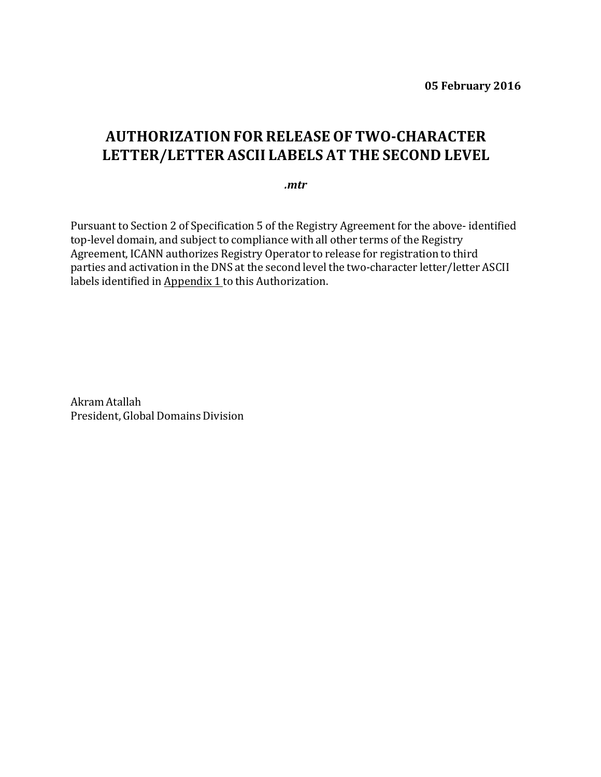## **AUTHORIZATIONFOR RELEASE OF TWO-CHARACTER LETTER/LETTER ASCII LABELS AT THE SECOND LEVEL**

*.mtr*

Pursuant to Section 2 of Specification 5 of the Registry Agreement for the above- identified top-level domain, and subject to compliance with all other terms of the Registry Agreement, ICANN authorizes Registry Operator to release for registration to third parties and activation in the DNS at the second level the two-character letter/letter ASCII labels identified in Appendix 1 to this Authorization.

Akram Atallah President, Global Domains Division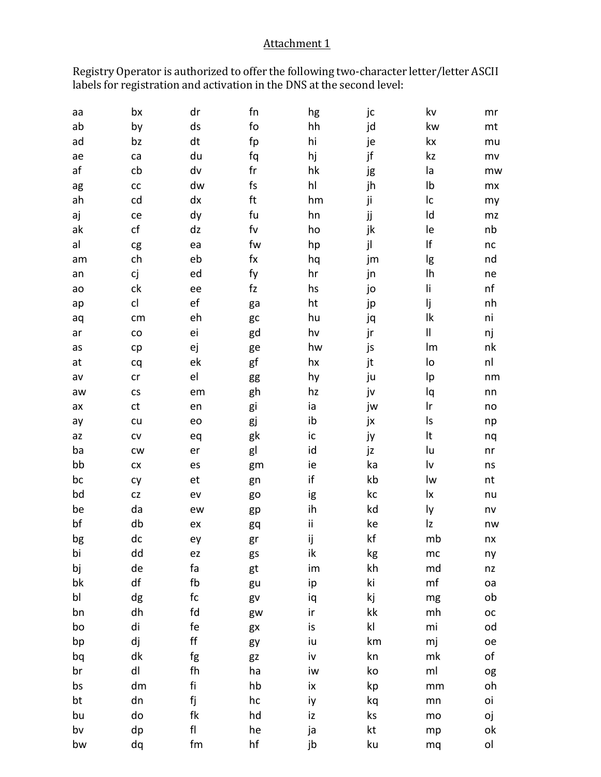## Attachment 1

Registry Operator is authorized to offer the following two-character letter/letter ASCII labels for registration and activation in the DNS at the second level:

| аа | bx                           | dr            | fn             | hg  | jc            | kv                     | mr          |
|----|------------------------------|---------------|----------------|-----|---------------|------------------------|-------------|
| ab | by                           | ds            | fo             | hh  | jd            | kw                     | mt          |
| ad | bz                           | dt            | fp             | hi  | je            | kx                     | mu          |
| ae | ca                           | du            | fq             | hj  | jf            | kz                     | mv          |
| af | cb                           | dv            | $\sf fr$       | hk  | jg            | la                     | mw          |
| ag | ${\sf CC}$                   | dw            | fs             | hl  | jh            | Ib                     | mx          |
| ah | cd                           | dx            | ft             | hm  | ji            | Ic                     | my          |
| aj | ce                           | dy            | fu             | hn  | jj            | Id                     | mz          |
| ak | cf                           | dz            | f <sub>V</sub> | ho  | jk            | le                     | nb          |
| al | cg                           | ea            | fw             | hp  | jl            | lf                     | nc          |
| am | ch                           | eb            | $f$ $x$        | hq  | jm            | lg                     | nd          |
| an | сj                           | ed            | fy             | hr  | jn            | Ih                     | ne          |
| ao | ck                           | ee            | fz             | hs  | jo            | li                     | nf          |
| ap | cl                           | ef            | ga             | ht  | jp            | lj                     | nh          |
| aq | cm                           | eh            | gc             | hu  | jq            | lk                     | ni          |
| ar | $\mathsf{co}\hspace{0.05cm}$ | ei            | gd             | hv  | jr            | $\sf II$               | nj          |
| as | cp                           | ej            | ge             | hw  | js            | Im                     | nk          |
| at | cq                           | ek            | gf             | hx  | jt            | lo                     | nl          |
| av | cr                           | el            | gg             | hy  | ju            | Ιp                     | nm          |
| aw | $\mathsf{CS}\xspace$         | em            | gh             | hz  | jv            | lq                     | nn          |
| ax | ct                           | en            | gi             | ia  | jw            | Ir                     | no          |
| ay | cu                           | eo            | gj             | ib  | jx            | ls                     | np          |
| az | ${\sf CV}$                   | eq            | gk             | ic  | ју            | It                     | nq          |
| ba | <b>CW</b>                    | er            | gl             | id  | jz            | lu                     | n <b>r</b>  |
| bb | ${\sf C} {\sf X}$            | es            | gm             | ie  | ka            | $\mathsf{I}\mathsf{v}$ | ns          |
| bc | cy                           | et            | gn             | if  | kb            | lw                     | nt          |
| bd | CZ                           | ev            | go             | ig  | kc            | lx                     | nu          |
| be | da                           | ew            | gp             | ih  | kd            | ly                     | nv          |
| bf | db                           | ex            | gq             | ij. | ke            | Iz                     | nw          |
| bg | dc                           | ey            | gr             | ij  | kf            | mb                     | nx          |
| bi | dd                           | ez            | gs             | ik  | kg            | mc                     | ny          |
| bj | de                           | fa            | gt             | im  | kh            | md                     | nz          |
| bk | df                           | fb            | gu             | ip  | ki            | mf                     | oa          |
| bl | dg                           | fc            | gv             | iq  | kj            | mg                     | ob          |
| bn | dh                           | fd            | gw             | ir  | kk            | mh                     | $_{\rm OC}$ |
| bo | di                           | fe            | gx             | is  | $\mathsf{kl}$ | mi                     | od          |
| bp | dj                           | $\mathsf{ff}$ | gy             | iu  | km            | mj                     | oe          |
| bq | dk                           | fg            | gz             | iv  | kn            | mk                     | оf          |
| br | dl                           | fh            | ha             | iw  | ko            | ml                     | og          |
| bs | dm                           | fi            | hb             | ix  | kp            | mm                     | oh          |
| bt | dn                           | fj            | hc             | iy  | kq            | mn                     | oi          |
| bu | do                           | fk            | hd             | iz  | ks            | mo                     | оj          |
| bv | dp                           | ${\sf fl}$    | he             | ja  | kt            | mp                     | оk          |
| bw | dq                           | fm            | hf             | jb  | ku            | mq                     | ol          |
|    |                              |               |                |     |               |                        |             |